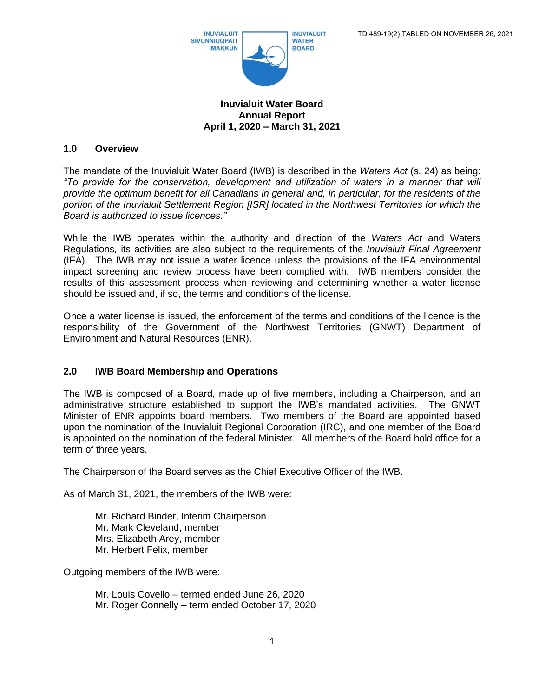

#### **Inuvialuit Water Board Annual Report April 1, 2020 – March 31, 2021**

### **1.0 Overview**

The mandate of the Inuvialuit Water Board (IWB) is described in the *Waters Act* (s. 24) as being: *"To provide for the conservation, development and utilization of waters in a manner that will provide the optimum benefit for all Canadians in general and, in particular, for the residents of the portion of the Inuvialuit Settlement Region [ISR] located in the Northwest Territories for which the Board is authorized to issue licences."*

While the IWB operates within the authority and direction of the *Waters Act* and Waters Regulations*,* its activities are also subject to the requirements of the *Inuvialuit Final Agreement*  (IFA). The IWB may not issue a water licence unless the provisions of the IFA environmental impact screening and review process have been complied with. IWB members consider the results of this assessment process when reviewing and determining whether a water license should be issued and, if so, the terms and conditions of the license.

Once a water license is issued, the enforcement of the terms and conditions of the licence is the responsibility of the Government of the Northwest Territories (GNWT) Department of Environment and Natural Resources (ENR).

#### **2.0 IWB Board Membership and Operations**

The IWB is composed of a Board, made up of five members, including a Chairperson, and an administrative structure established to support the IWB's mandated activities. The GNWT Minister of ENR appoints board members. Two members of the Board are appointed based upon the nomination of the Inuvialuit Regional Corporation (IRC), and one member of the Board is appointed on the nomination of the federal Minister. All members of the Board hold office for a term of three years.

The Chairperson of the Board serves as the Chief Executive Officer of the IWB.

As of March 31, 2021, the members of the IWB were:

Mr. Richard Binder, Interim Chairperson Mr. Mark Cleveland, member Mrs. Elizabeth Arey, member Mr. Herbert Felix, member

Outgoing members of the IWB were:

Mr. Louis Covello – termed ended June 26, 2020 Mr. Roger Connelly – term ended October 17, 2020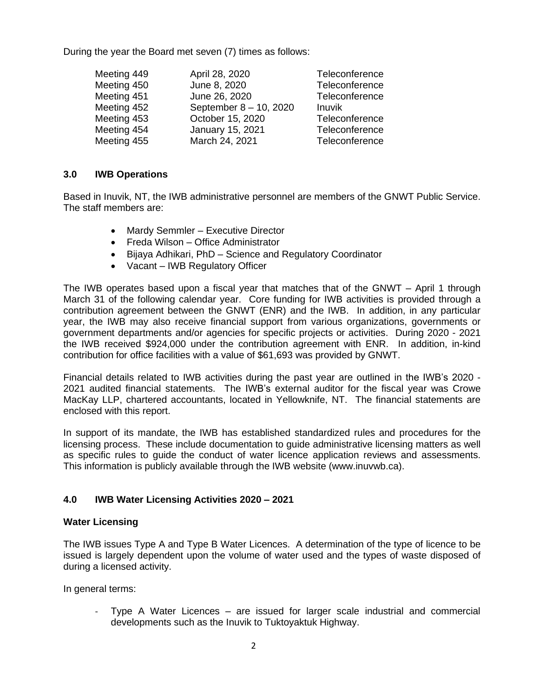During the year the Board met seven (7) times as follows:

| Meeting 449 | April 28, 2020         | Teleconference |
|-------------|------------------------|----------------|
| Meeting 450 | June 8, 2020           | Teleconference |
| Meeting 451 | June 26, 2020          | Teleconference |
| Meeting 452 | September 8 - 10, 2020 | Inuvik         |
| Meeting 453 | October 15, 2020       | Teleconference |
| Meeting 454 | January 15, 2021       | Teleconference |
| Meeting 455 | March 24, 2021         | Teleconference |

## **3.0 IWB Operations**

Based in Inuvik, NT, the IWB administrative personnel are members of the GNWT Public Service. The staff members are:

- Mardy Semmler Executive Director
- Freda Wilson Office Administrator
- Bijaya Adhikari, PhD Science and Regulatory Coordinator
- Vacant IWB Regulatory Officer

The IWB operates based upon a fiscal year that matches that of the GNWT – April 1 through March 31 of the following calendar year. Core funding for IWB activities is provided through a contribution agreement between the GNWT (ENR) and the IWB. In addition, in any particular year, the IWB may also receive financial support from various organizations, governments or government departments and/or agencies for specific projects or activities. During 2020 - 2021 the IWB received \$924,000 under the contribution agreement with ENR. In addition, in-kind contribution for office facilities with a value of \$61,693 was provided by GNWT.

Financial details related to IWB activities during the past year are outlined in the IWB's 2020 - 2021 audited financial statements. The IWB's external auditor for the fiscal year was Crowe MacKay LLP, chartered accountants, located in Yellowknife, NT. The financial statements are enclosed with this report.

In support of its mandate, the IWB has established standardized rules and procedures for the licensing process. These include documentation to guide administrative licensing matters as well as specific rules to guide the conduct of water licence application reviews and assessments. This information is publicly available through the IWB website (www.inuvwb.ca).

## **4.0 IWB Water Licensing Activities 2020 – 2021**

#### **Water Licensing**

The IWB issues Type A and Type B Water Licences. A determination of the type of licence to be issued is largely dependent upon the volume of water used and the types of waste disposed of during a licensed activity.

In general terms:

- Type A Water Licences – are issued for larger scale industrial and commercial developments such as the Inuvik to Tuktoyaktuk Highway.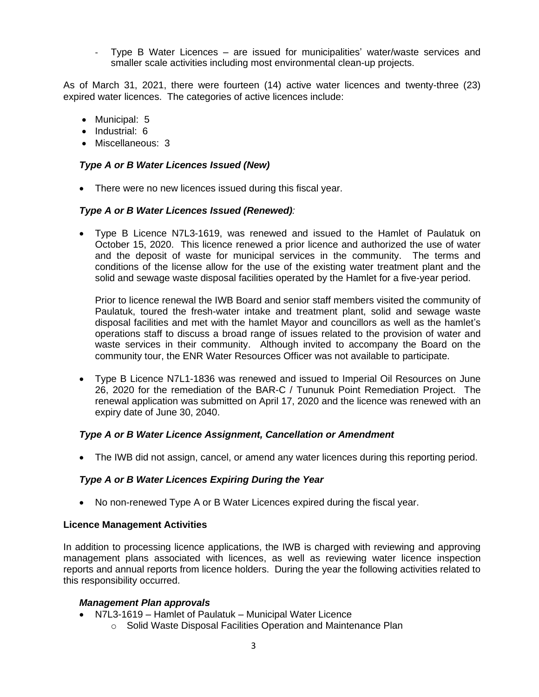- Type B Water Licences – are issued for municipalities' water/waste services and smaller scale activities including most environmental clean-up projects.

As of March 31, 2021, there were fourteen (14) active water licences and twenty-three (23) expired water licences. The categories of active licences include:

- Municipal: 5
- Industrial: 6
- Miscellaneous: 3

## *Type A or B Water Licences Issued (New)*

• There were no new licences issued during this fiscal year.

## *Type A or B Water Licences Issued (Renewed):*

• Type B Licence N7L3-1619, was renewed and issued to the Hamlet of Paulatuk on October 15, 2020. This licence renewed a prior licence and authorized the use of water and the deposit of waste for municipal services in the community. The terms and conditions of the license allow for the use of the existing water treatment plant and the solid and sewage waste disposal facilities operated by the Hamlet for a five-year period.

Prior to licence renewal the IWB Board and senior staff members visited the community of Paulatuk, toured the fresh-water intake and treatment plant, solid and sewage waste disposal facilities and met with the hamlet Mayor and councillors as well as the hamlet's operations staff to discuss a broad range of issues related to the provision of water and waste services in their community. Although invited to accompany the Board on the community tour, the ENR Water Resources Officer was not available to participate.

• Type B Licence N7L1-1836 was renewed and issued to Imperial Oil Resources on June 26, 2020 for the remediation of the BAR-C / Tununuk Point Remediation Project. The renewal application was submitted on April 17, 2020 and the licence was renewed with an expiry date of June 30, 2040.

## *Type A or B Water Licence Assignment, Cancellation or Amendment*

• The IWB did not assign, cancel, or amend any water licences during this reporting period.

## *Type A or B Water Licences Expiring During the Year*

• No non-renewed Type A or B Water Licences expired during the fiscal year.

#### **Licence Management Activities**

In addition to processing licence applications, the IWB is charged with reviewing and approving management plans associated with licences, as well as reviewing water licence inspection reports and annual reports from licence holders. During the year the following activities related to this responsibility occurred.

#### *Management Plan approvals*

- N7L3-1619 Hamlet of Paulatuk Municipal Water Licence
	- o Solid Waste Disposal Facilities Operation and Maintenance Plan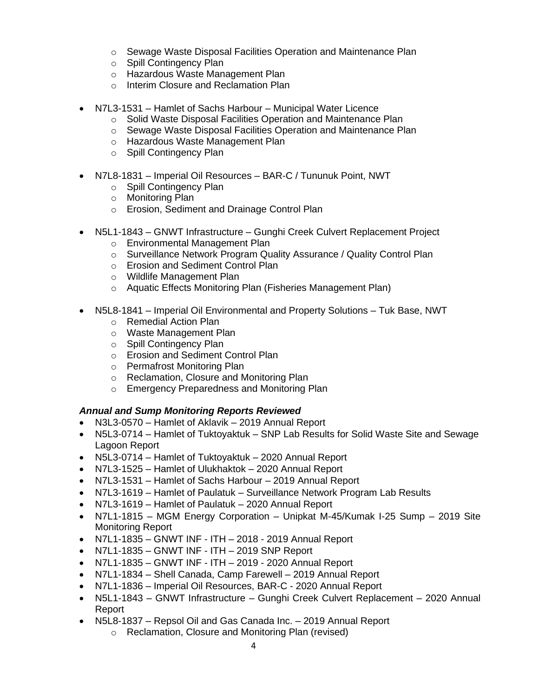- o Sewage Waste Disposal Facilities Operation and Maintenance Plan
- o Spill Contingency Plan
- o Hazardous Waste Management Plan
- o Interim Closure and Reclamation Plan
- N7L3-1531 Hamlet of Sachs Harbour Municipal Water Licence
	- o Solid Waste Disposal Facilities Operation and Maintenance Plan
	- o Sewage Waste Disposal Facilities Operation and Maintenance Plan
	- o Hazardous Waste Management Plan
	- o Spill Contingency Plan
- N7L8-1831 Imperial Oil Resources BAR-C / Tununuk Point, NWT
	- o Spill Contingency Plan
	- o Monitoring Plan
	- o Erosion, Sediment and Drainage Control Plan
- N5L1-1843 GNWT Infrastructure Gunghi Creek Culvert Replacement Project
	- o Environmental Management Plan
	- o Surveillance Network Program Quality Assurance / Quality Control Plan
	- o Erosion and Sediment Control Plan
	- o Wildlife Management Plan
	- o Aquatic Effects Monitoring Plan (Fisheries Management Plan)
- N5L8-1841 Imperial Oil Environmental and Property Solutions Tuk Base, NWT
	- o Remedial Action Plan
	- o Waste Management Plan
	- o Spill Contingency Plan
	- o Erosion and Sediment Control Plan
	- o Permafrost Monitoring Plan
	- o Reclamation, Closure and Monitoring Plan
	- o Emergency Preparedness and Monitoring Plan

# *Annual and Sump Monitoring Reports Reviewed*

- N3L3-0570 Hamlet of Aklavik 2019 Annual Report
- N5L3-0714 Hamlet of Tuktoyaktuk SNP Lab Results for Solid Waste Site and Sewage Lagoon Report
- N5L3-0714 Hamlet of Tuktoyaktuk 2020 Annual Report
- N7L3-1525 Hamlet of Ulukhaktok 2020 Annual Report
- N7L3-1531 Hamlet of Sachs Harbour 2019 Annual Report
- N7L3-1619 Hamlet of Paulatuk Surveillance Network Program Lab Results
- N7L3-1619 Hamlet of Paulatuk 2020 Annual Report
- N7L1-1815 MGM Energy Corporation Unipkat M-45/Kumak I-25 Sump 2019 Site Monitoring Report
- N7L1-1835 GNWT INF ITH 2018 2019 Annual Report
- N7L1-1835 GNWT INF ITH 2019 SNP Report
- N7L1-1835 GNWT INF ITH 2019 2020 Annual Report
- N7L1-1834 Shell Canada, Camp Farewell 2019 Annual Report
- N7L1-1836 Imperial Oil Resources, BAR-C 2020 Annual Report
- N5L1-1843 GNWT Infrastructure Gunghi Creek Culvert Replacement 2020 Annual Report
- N5L8-1837 Repsol Oil and Gas Canada Inc. 2019 Annual Report
	- o Reclamation, Closure and Monitoring Plan (revised)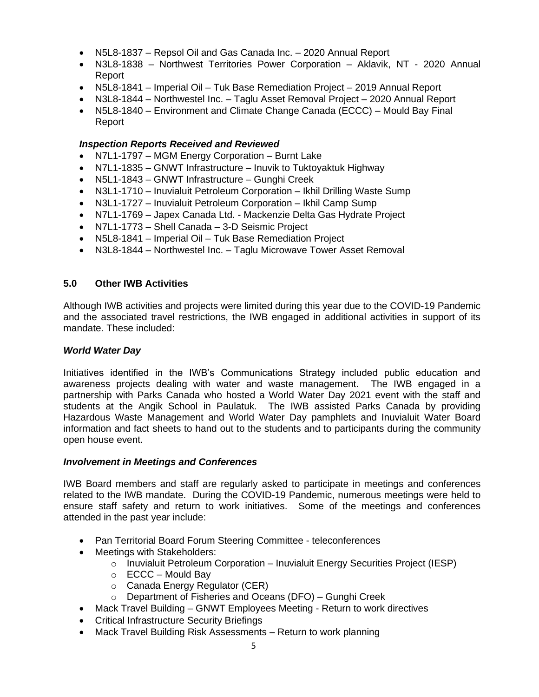- N5L8-1837 Repsol Oil and Gas Canada Inc. 2020 Annual Report
- N3L8-1838 Northwest Territories Power Corporation Aklavik, NT 2020 Annual Report
- N5L8-1841 Imperial Oil Tuk Base Remediation Project 2019 Annual Report
- N3L8-1844 Northwestel Inc. Taglu Asset Removal Project 2020 Annual Report
- N5L8-1840 Environment and Climate Change Canada (ECCC) Mould Bay Final Report

## *Inspection Reports Received and Reviewed*

- N7L1-1797 MGM Energy Corporation Burnt Lake
- N7L1-1835 GNWT Infrastructure Inuvik to Tuktoyaktuk Highway
- N5L1-1843 GNWT Infrastructure Gunghi Creek
- N3L1-1710 Inuvialuit Petroleum Corporation Ikhil Drilling Waste Sump
- N3L1-1727 Inuvialuit Petroleum Corporation Ikhil Camp Sump
- N7L1-1769 Japex Canada Ltd. Mackenzie Delta Gas Hydrate Project
- N7L1-1773 Shell Canada 3-D Seismic Project
- N5L8-1841 Imperial Oil Tuk Base Remediation Project
- N3L8-1844 Northwestel Inc. Taglu Microwave Tower Asset Removal

### **5.0 Other IWB Activities**

Although IWB activities and projects were limited during this year due to the COVID-19 Pandemic and the associated travel restrictions, the IWB engaged in additional activities in support of its mandate. These included:

#### *World Water Day*

Initiatives identified in the IWB's Communications Strategy included public education and awareness projects dealing with water and waste management. The IWB engaged in a partnership with Parks Canada who hosted a World Water Day 2021 event with the staff and students at the Angik School in Paulatuk. The IWB assisted Parks Canada by providing Hazardous Waste Management and World Water Day pamphlets and Inuvialuit Water Board information and fact sheets to hand out to the students and to participants during the community open house event.

#### *Involvement in Meetings and Conferences*

IWB Board members and staff are regularly asked to participate in meetings and conferences related to the IWB mandate. During the COVID-19 Pandemic, numerous meetings were held to ensure staff safety and return to work initiatives. Some of the meetings and conferences attended in the past year include:

- Pan Territorial Board Forum Steering Committee teleconferences
- Meetings with Stakeholders:
	- $\circ$  Inuvialuit Petroleum Corporation Inuvialuit Energy Securities Project (IESP)
	- $\circ$  ECCC Mould Bay
	- o Canada Energy Regulator (CER)
	- o Department of Fisheries and Oceans (DFO) Gunghi Creek
- Mack Travel Building GNWT Employees Meeting Return to work directives
- Critical Infrastructure Security Briefings
- Mack Travel Building Risk Assessments Return to work planning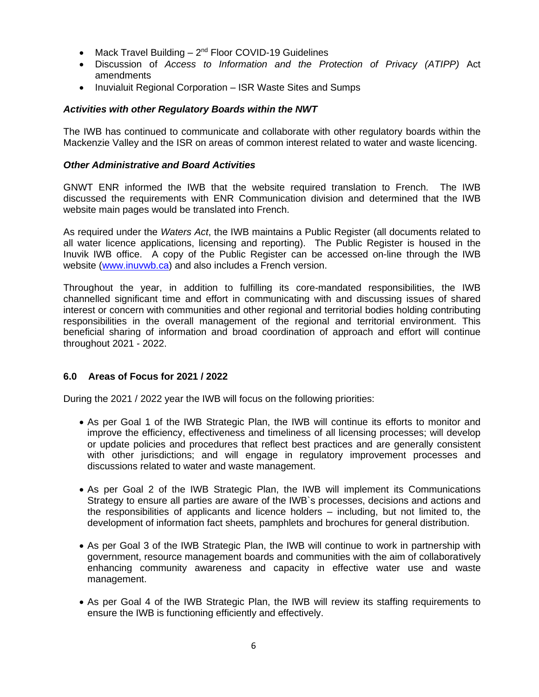- Mack Travel Building  $-2<sup>nd</sup>$  Floor COVID-19 Guidelines
- Discussion of *Access to Information and the Protection of Privacy (ATIPP)* Act amendments
- Inuvialuit Regional Corporation ISR Waste Sites and Sumps

## *Activities with other Regulatory Boards within the NWT*

The IWB has continued to communicate and collaborate with other regulatory boards within the Mackenzie Valley and the ISR on areas of common interest related to water and waste licencing.

#### *Other Administrative and Board Activities*

GNWT ENR informed the IWB that the website required translation to French. The IWB discussed the requirements with ENR Communication division and determined that the IWB website main pages would be translated into French.

As required under the *Waters Act*, the IWB maintains a Public Register (all documents related to all water licence applications, licensing and reporting). The Public Register is housed in the Inuvik IWB office. A copy of the Public Register can be accessed on-line through the IWB website [\(www.inuvwb.ca\)](http://www.inuvwb.ca/) and also includes a French version.

Throughout the year, in addition to fulfilling its core-mandated responsibilities, the IWB channelled significant time and effort in communicating with and discussing issues of shared interest or concern with communities and other regional and territorial bodies holding contributing responsibilities in the overall management of the regional and territorial environment. This beneficial sharing of information and broad coordination of approach and effort will continue throughout 2021 - 2022.

#### **6.0 Areas of Focus for 2021 / 2022**

During the 2021 / 2022 year the IWB will focus on the following priorities:

- As per Goal 1 of the IWB Strategic Plan, the IWB will continue its efforts to monitor and improve the efficiency, effectiveness and timeliness of all licensing processes; will develop or update policies and procedures that reflect best practices and are generally consistent with other jurisdictions; and will engage in regulatory improvement processes and discussions related to water and waste management.
- As per Goal 2 of the IWB Strategic Plan, the IWB will implement its Communications Strategy to ensure all parties are aware of the IWB`s processes, decisions and actions and the responsibilities of applicants and licence holders – including, but not limited to, the development of information fact sheets, pamphlets and brochures for general distribution.
- As per Goal 3 of the IWB Strategic Plan, the IWB will continue to work in partnership with government, resource management boards and communities with the aim of collaboratively enhancing community awareness and capacity in effective water use and waste management.
- As per Goal 4 of the IWB Strategic Plan, the IWB will review its staffing requirements to ensure the IWB is functioning efficiently and effectively.